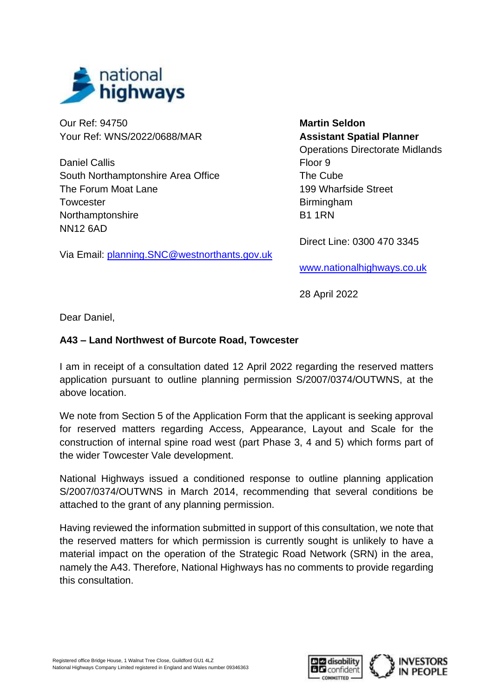

Our Ref: 94750 Your Ref: WNS/2022/0688/MAR

Daniel Callis South Northamptonshire Area Office The Forum Moat Lane **Towcester** Northamptonshire NN12 6AD

Via Email: [planning.SNC@westnorthants.gov.uk](mailto:planning.SNC@westnorthants.gov.uk)

**Martin Seldon Assistant Spatial Planner** Operations Directorate Midlands Floor 9 The Cube 199 Wharfside Street **Birmingham** B1 1RN

Direct Line: 0300 470 3345

[www.nationalhighways.co.uk](http://www.nationalhighways.co.uk/)

28 April 2022

Dear Daniel,

## **A43 – Land Northwest of Burcote Road, Towcester**

I am in receipt of a consultation dated 12 April 2022 regarding the reserved matters application pursuant to outline planning permission S/2007/0374/OUTWNS, at the above location.

We note from Section 5 of the Application Form that the applicant is seeking approval for reserved matters regarding Access, Appearance, Layout and Scale for the construction of internal spine road west (part Phase 3, 4 and 5) which forms part of the wider Towcester Vale development.

National Highways issued a conditioned response to outline planning application S/2007/0374/OUTWNS in March 2014, recommending that several conditions be attached to the grant of any planning permission.

Having reviewed the information submitted in support of this consultation, we note that the reserved matters for which permission is currently sought is unlikely to have a material impact on the operation of the Strategic Road Network (SRN) in the area, namely the A43. Therefore, National Highways has no comments to provide regarding this consultation.